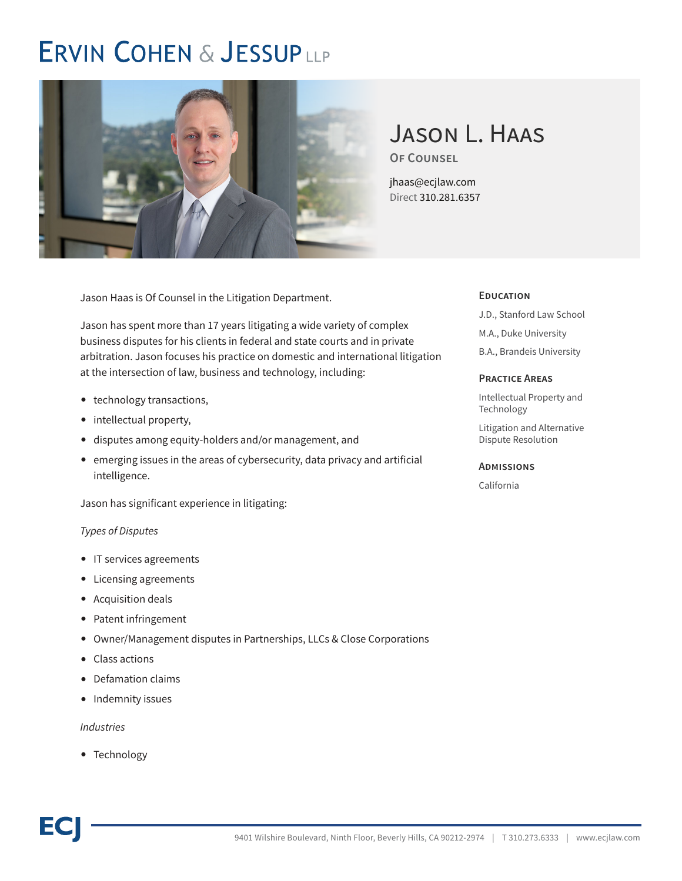# **ERVIN COHEN & JESSUPLLP**



# Jason L. Haas **Of Counsel**

jhaas@ecjlaw.com Direct 310.281.6357

Jason Haas is Of Counsel in the Litigation Department.

Jason has spent more than 17 years litigating a wide variety of complex business disputes for his clients in federal and state courts and in private arbitration. Jason focuses his practice on domestic and international litigation at the intersection of law, business and technology, including:

- technology transactions,
- intellectual property,
- disputes among equity-holders and/or management, and
- emerging issues in the areas of cybersecurity, data privacy and artificial intelligence.

Jason has significant experience in litigating:

#### *Types of Disputes*

- IT services agreements
- Licensing agreements
- Acquisition deals
- Patent infringement
- Owner/Management disputes in Partnerships, LLCs & Close Corporations
- Class actions
- Defamation claims
- Indemnity issues

#### *Industries*

● Technology

#### **Education**

- J.D., Stanford Law School
- M.A., Duke University
- B.A., Brandeis University

#### **Practice Areas**

Intellectual Property and Technology

Litigation and Alternative Dispute Resolution

#### **Admissions**

California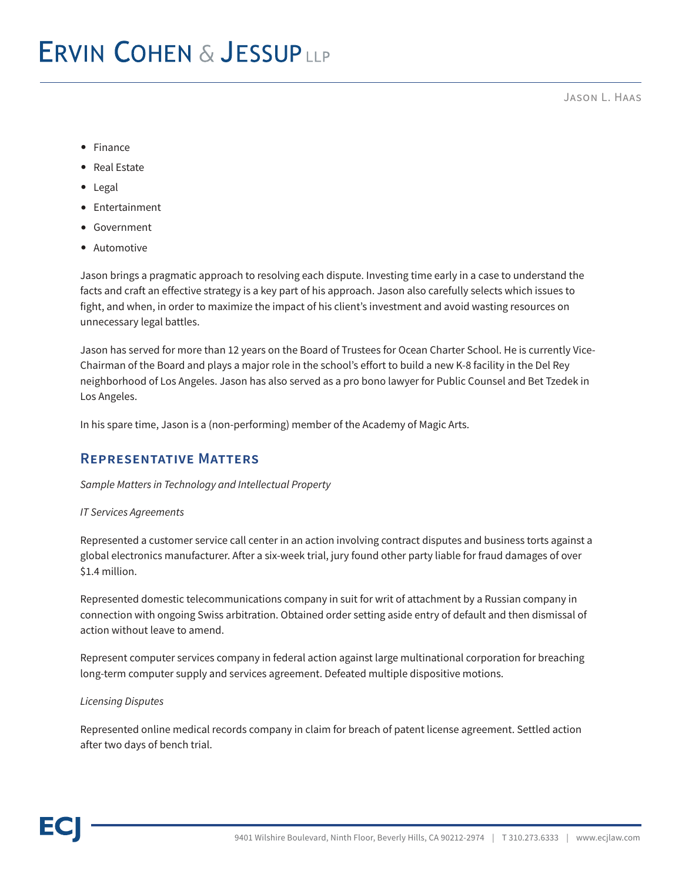Jason L. Haas

- Finance
- Real Estate
- Legal
- Entertainment
- Government
- Automotive

Jason brings a pragmatic approach to resolving each dispute. Investing time early in a case to understand the facts and craft an effective strategy is a key part of his approach. Jason also carefully selects which issues to fight, and when, in order to maximize the impact of his client's investment and avoid wasting resources on unnecessary legal battles.

Jason has served for more than 12 years on the Board of Trustees for Ocean Charter School. He is currently Vice-Chairman of the Board and plays a major role in the school's effort to build a new K-8 facility in the Del Rey neighborhood of Los Angeles. Jason has also served as a pro bono lawyer for Public Counsel and Bet Tzedek in Los Angeles.

In his spare time, Jason is a (non-performing) member of the Academy of Magic Arts.

### **Representative Matters**

#### *Sample Matters in Technology and Intellectual Property*

#### *IT Services Agreements*

Represented a customer service call center in an action involving contract disputes and business torts against a global electronics manufacturer. After a six-week trial, jury found other party liable for fraud damages of over \$1.4 million.

Represented domestic telecommunications company in suit for writ of attachment by a Russian company in connection with ongoing Swiss arbitration. Obtained order setting aside entry of default and then dismissal of action without leave to amend.

Represent computer services company in federal action against large multinational corporation for breaching long-term computer supply and services agreement. Defeated multiple dispositive motions.

#### *Licensing Disputes*

Represented online medical records company in claim for breach of patent license agreement. Settled action after two days of bench trial.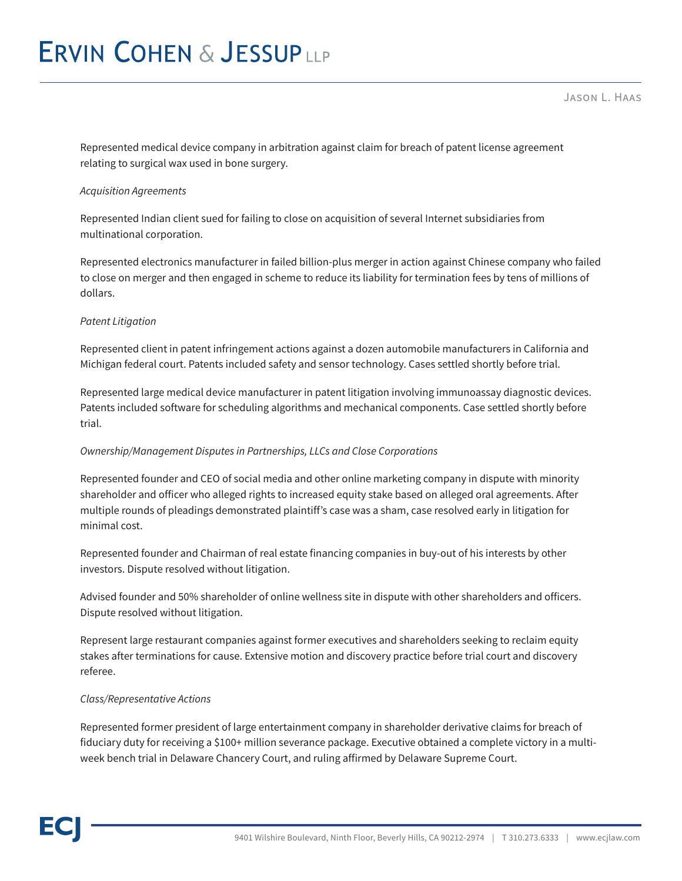Jason L. Haas

Represented medical device company in arbitration against claim for breach of patent license agreement relating to surgical wax used in bone surgery.

#### *Acquisition Agreements*

Represented Indian client sued for failing to close on acquisition of several Internet subsidiaries from multinational corporation.

Represented electronics manufacturer in failed billion-plus merger in action against Chinese company who failed to close on merger and then engaged in scheme to reduce its liability for termination fees by tens of millions of dollars.

#### *Patent Litigation*

Represented client in patent infringement actions against a dozen automobile manufacturers in California and Michigan federal court. Patents included safety and sensor technology. Cases settled shortly before trial.

Represented large medical device manufacturer in patent litigation involving immunoassay diagnostic devices. Patents included software for scheduling algorithms and mechanical components. Case settled shortly before trial.

#### *Ownership/Management Disputes in Partnerships, LLCs and Close Corporations*

Represented founder and CEO of social media and other online marketing company in dispute with minority shareholder and officer who alleged rights to increased equity stake based on alleged oral agreements. After multiple rounds of pleadings demonstrated plaintiff's case was a sham, case resolved early in litigation for minimal cost.

Represented founder and Chairman of real estate financing companies in buy-out of his interests by other investors. Dispute resolved without litigation.

Advised founder and 50% shareholder of online wellness site in dispute with other shareholders and officers. Dispute resolved without litigation.

Represent large restaurant companies against former executives and shareholders seeking to reclaim equity stakes after terminations for cause. Extensive motion and discovery practice before trial court and discovery referee.

#### *Class/Representative Actions*

Represented former president of large entertainment company in shareholder derivative claims for breach of fiduciary duty for receiving a \$100+ million severance package. Executive obtained a complete victory in a multiweek bench trial in Delaware Chancery Court, and ruling affirmed by Delaware Supreme Court.